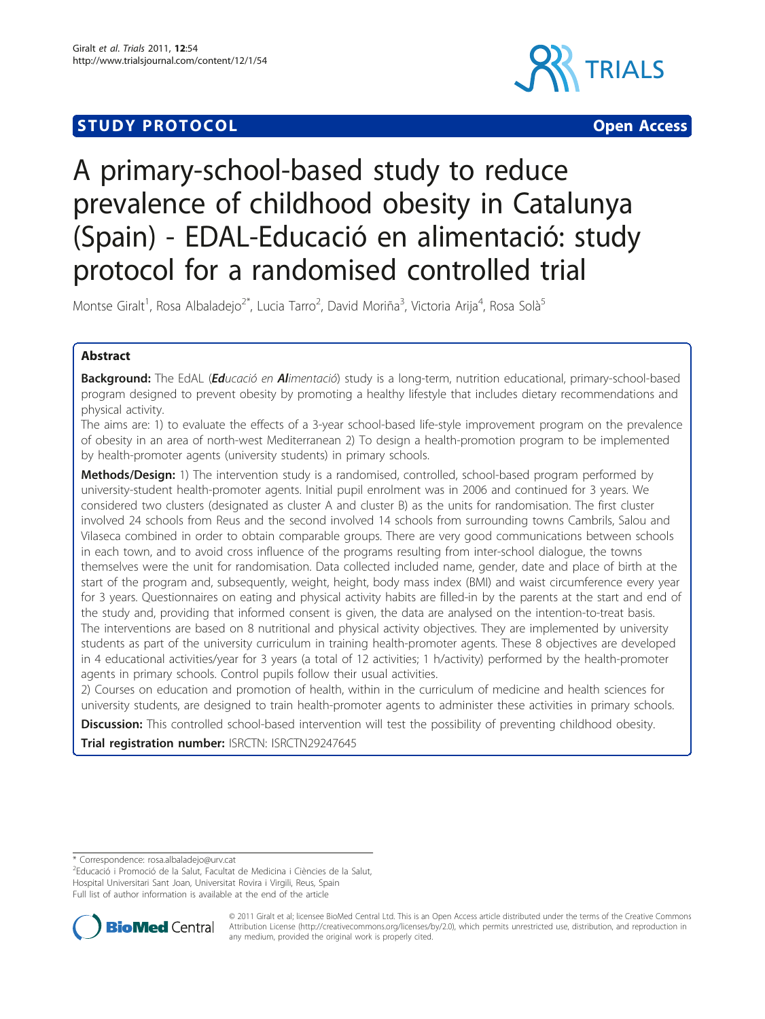# **STUDY PROTOCOL CONSUMING THE CONSUMING OPEN ACCESS**



# A primary-school-based study to reduce prevalence of childhood obesity in Catalunya (Spain) - EDAL-Educació en alimentació: study protocol for a randomised controlled trial

Montse Giralt<sup>1</sup>, Rosa Albaladejo<sup>2\*</sup>, Lucia Tarro<sup>2</sup>, David Moriña<sup>3</sup>, Victoria Arija<sup>4</sup>, Rosa Solà<sup>5</sup>

# Abstract

Background: The EdAL (Educació en Alimentació) study is a long-term, nutrition educational, primary-school-based program designed to prevent obesity by promoting a healthy lifestyle that includes dietary recommendations and physical activity.

The aims are: 1) to evaluate the effects of a 3-year school-based life-style improvement program on the prevalence of obesity in an area of north-west Mediterranean 2) To design a health-promotion program to be implemented by health-promoter agents (university students) in primary schools.

**Methods/Design:** 1) The intervention study is a randomised, controlled, school-based program performed by university-student health-promoter agents. Initial pupil enrolment was in 2006 and continued for 3 years. We considered two clusters (designated as cluster A and cluster B) as the units for randomisation. The first cluster involved 24 schools from Reus and the second involved 14 schools from surrounding towns Cambrils, Salou and Vilaseca combined in order to obtain comparable groups. There are very good communications between schools in each town, and to avoid cross influence of the programs resulting from inter-school dialogue, the towns themselves were the unit for randomisation. Data collected included name, gender, date and place of birth at the start of the program and, subsequently, weight, height, body mass index (BMI) and waist circumference every year for 3 years. Questionnaires on eating and physical activity habits are filled-in by the parents at the start and end of the study and, providing that informed consent is given, the data are analysed on the intention-to-treat basis. The interventions are based on 8 nutritional and physical activity objectives. They are implemented by university students as part of the university curriculum in training health-promoter agents. These 8 objectives are developed in 4 educational activities/year for 3 years (a total of 12 activities; 1 h/activity) performed by the health-promoter agents in primary schools. Control pupils follow their usual activities.

2) Courses on education and promotion of health, within in the curriculum of medicine and health sciences for university students, are designed to train health-promoter agents to administer these activities in primary schools.

**Discussion:** This controlled school-based intervention will test the possibility of preventing childhood obesity.

Trial registration number: ISRCTN: [ISRCTN29247645](http://www.controlled-trials.com/ISRCTN29247645)

\* Correspondence: [rosa.albaladejo@urv.cat](mailto:rosa.albaladejo@urv.cat)

2 Educació i Promoció de la Salut, Facultat de Medicina i Ciències de la Salut, Hospital Universitari Sant Joan, Universitat Rovira i Virgili, Reus, Spain Full list of author information is available at the end of the article



© 2011 Giralt et al; licensee BioMed Central Ltd. This is an Open Access article distributed under the terms of the Creative Commons Attribution License [\(http://creativecommons.org/licenses/by/2.0](http://creativecommons.org/licenses/by/2.0)), which permits unrestricted use, distribution, and reproduction in any medium, provided the original work is properly cited.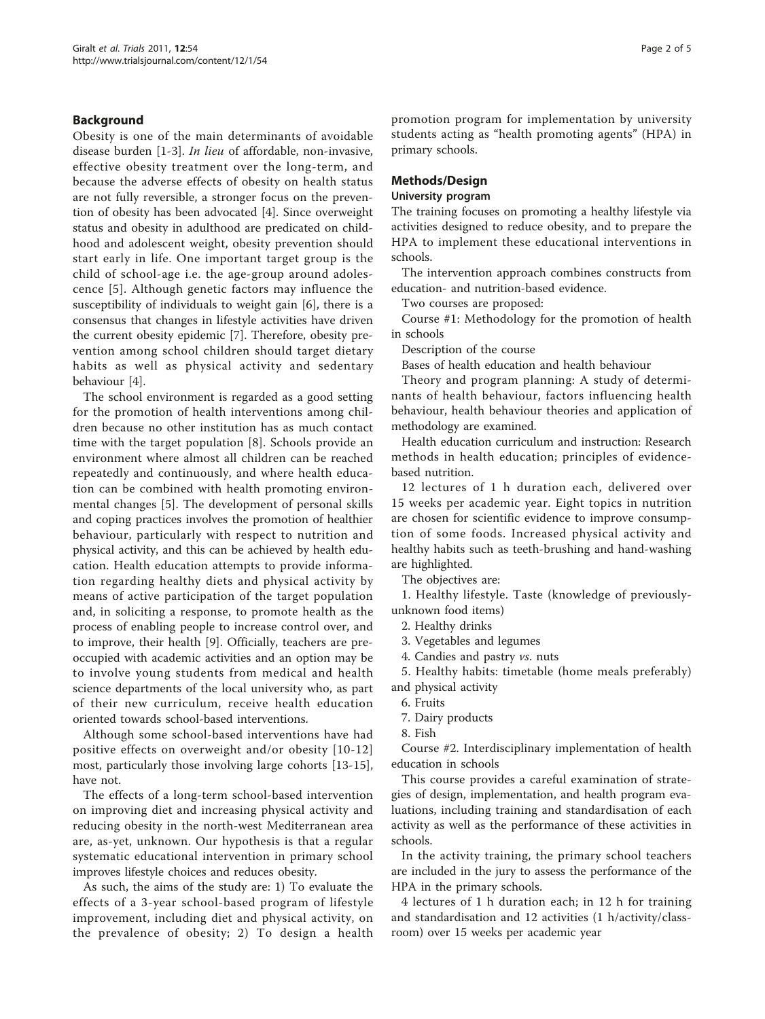# Background

Obesity is one of the main determinants of avoidable disease burden [[1-3\]](#page-4-0). In lieu of affordable, non-invasive, effective obesity treatment over the long-term, and because the adverse effects of obesity on health status are not fully reversible, a stronger focus on the prevention of obesity has been advocated [[4\]](#page-4-0). Since overweight status and obesity in adulthood are predicated on childhood and adolescent weight, obesity prevention should start early in life. One important target group is the child of school-age i.e. the age-group around adolescence [[5\]](#page-4-0). Although genetic factors may influence the susceptibility of individuals to weight gain [\[6](#page-4-0)], there is a consensus that changes in lifestyle activities have driven the current obesity epidemic [[7\]](#page-4-0). Therefore, obesity prevention among school children should target dietary habits as well as physical activity and sedentary behaviour [\[4](#page-4-0)].

The school environment is regarded as a good setting for the promotion of health interventions among children because no other institution has as much contact time with the target population [\[8](#page-4-0)]. Schools provide an environment where almost all children can be reached repeatedly and continuously, and where health education can be combined with health promoting environmental changes [[5\]](#page-4-0). The development of personal skills and coping practices involves the promotion of healthier behaviour, particularly with respect to nutrition and physical activity, and this can be achieved by health education. Health education attempts to provide information regarding healthy diets and physical activity by means of active participation of the target population and, in soliciting a response, to promote health as the process of enabling people to increase control over, and to improve, their health [\[9](#page-4-0)]. Officially, teachers are preoccupied with academic activities and an option may be to involve young students from medical and health science departments of the local university who, as part of their new curriculum, receive health education oriented towards school-based interventions.

Although some school-based interventions have had positive effects on overweight and/or obesity [[10](#page-4-0)-[12](#page-4-0)] most, particularly those involving large cohorts [[13-15](#page-4-0)], have not.

The effects of a long-term school-based intervention on improving diet and increasing physical activity and reducing obesity in the north-west Mediterranean area are, as-yet, unknown. Our hypothesis is that a regular systematic educational intervention in primary school improves lifestyle choices and reduces obesity.

As such, the aims of the study are: 1) To evaluate the effects of a 3-year school-based program of lifestyle improvement, including diet and physical activity, on the prevalence of obesity; 2) To design a health promotion program for implementation by university students acting as "health promoting agents" (HPA) in primary schools.

### Methods/Design

#### University program

The training focuses on promoting a healthy lifestyle via activities designed to reduce obesity, and to prepare the HPA to implement these educational interventions in schools.

The intervention approach combines constructs from education- and nutrition-based evidence.

Two courses are proposed:

Course #1: Methodology for the promotion of health in schools

Description of the course

Bases of health education and health behaviour

Theory and program planning: A study of determinants of health behaviour, factors influencing health behaviour, health behaviour theories and application of methodology are examined.

Health education curriculum and instruction: Research methods in health education; principles of evidencebased nutrition.

12 lectures of 1 h duration each, delivered over 15 weeks per academic year. Eight topics in nutrition are chosen for scientific evidence to improve consumption of some foods. Increased physical activity and healthy habits such as teeth-brushing and hand-washing are highlighted.

The objectives are:

1. Healthy lifestyle. Taste (knowledge of previouslyunknown food items)

2. Healthy drinks

3. Vegetables and legumes

4. Candies and pastry vs. nuts

5. Healthy habits: timetable (home meals preferably) and physical activity

6. Fruits

7. Dairy products

8. Fish

Course #2. Interdisciplinary implementation of health education in schools

This course provides a careful examination of strategies of design, implementation, and health program evaluations, including training and standardisation of each activity as well as the performance of these activities in schools.

In the activity training, the primary school teachers are included in the jury to assess the performance of the HPA in the primary schools.

4 lectures of 1 h duration each; in 12 h for training and standardisation and 12 activities (1 h/activity/classroom) over 15 weeks per academic year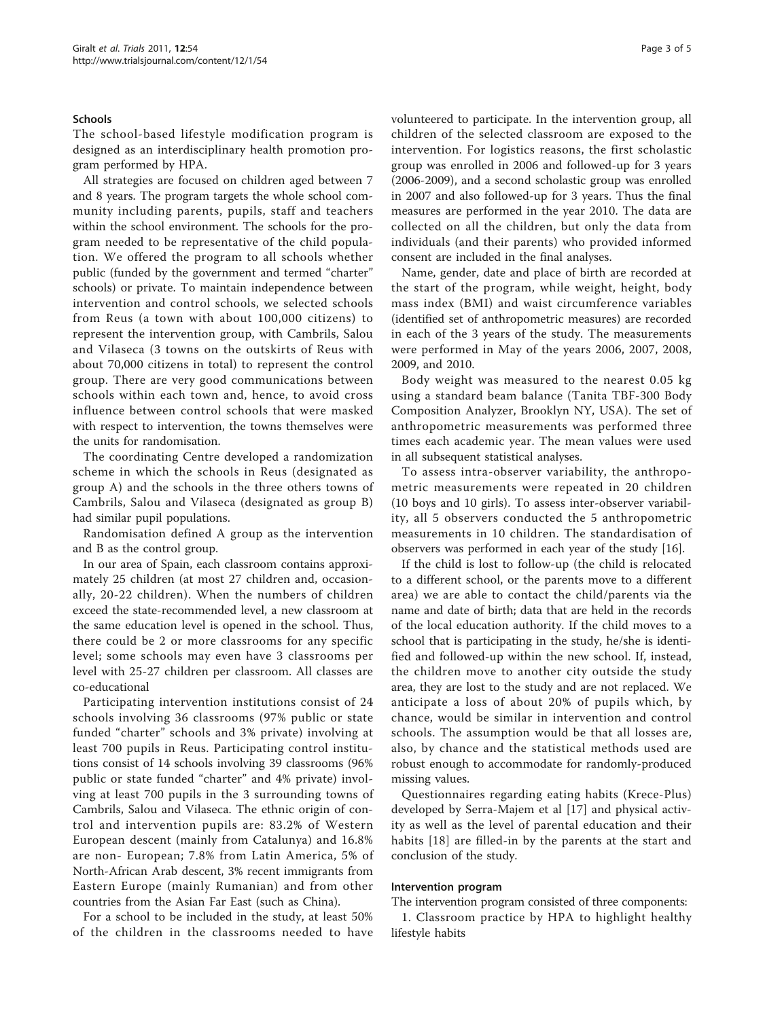#### Schools

The school-based lifestyle modification program is designed as an interdisciplinary health promotion program performed by HPA.

All strategies are focused on children aged between 7 and 8 years. The program targets the whole school community including parents, pupils, staff and teachers within the school environment. The schools for the program needed to be representative of the child population. We offered the program to all schools whether public (funded by the government and termed "charter" schools) or private. To maintain independence between intervention and control schools, we selected schools from Reus (a town with about 100,000 citizens) to represent the intervention group, with Cambrils, Salou and Vilaseca (3 towns on the outskirts of Reus with about 70,000 citizens in total) to represent the control group. There are very good communications between schools within each town and, hence, to avoid cross influence between control schools that were masked with respect to intervention, the towns themselves were the units for randomisation.

The coordinating Centre developed a randomization scheme in which the schools in Reus (designated as group A) and the schools in the three others towns of Cambrils, Salou and Vilaseca (designated as group B) had similar pupil populations.

Randomisation defined A group as the intervention and B as the control group.

In our area of Spain, each classroom contains approximately 25 children (at most 27 children and, occasionally, 20-22 children). When the numbers of children exceed the state-recommended level, a new classroom at the same education level is opened in the school. Thus, there could be 2 or more classrooms for any specific level; some schools may even have 3 classrooms per level with 25-27 children per classroom. All classes are co-educational

Participating intervention institutions consist of 24 schools involving 36 classrooms (97% public or state funded "charter" schools and 3% private) involving at least 700 pupils in Reus. Participating control institutions consist of 14 schools involving 39 classrooms (96% public or state funded "charter" and 4% private) involving at least 700 pupils in the 3 surrounding towns of Cambrils, Salou and Vilaseca. The ethnic origin of control and intervention pupils are: 83.2% of Western European descent (mainly from Catalunya) and 16.8% are non- European; 7.8% from Latin America, 5% of North-African Arab descent, 3% recent immigrants from Eastern Europe (mainly Rumanian) and from other countries from the Asian Far East (such as China).

For a school to be included in the study, at least 50% of the children in the classrooms needed to have volunteered to participate. In the intervention group, all children of the selected classroom are exposed to the intervention. For logistics reasons, the first scholastic group was enrolled in 2006 and followed-up for 3 years (2006-2009), and a second scholastic group was enrolled in 2007 and also followed-up for 3 years. Thus the final measures are performed in the year 2010. The data are collected on all the children, but only the data from individuals (and their parents) who provided informed consent are included in the final analyses.

Name, gender, date and place of birth are recorded at the start of the program, while weight, height, body mass index (BMI) and waist circumference variables (identified set of anthropometric measures) are recorded in each of the 3 years of the study. The measurements were performed in May of the years 2006, 2007, 2008, 2009, and 2010.

Body weight was measured to the nearest 0.05 kg using a standard beam balance (Tanita TBF-300 Body Composition Analyzer, Brooklyn NY, USA). The set of anthropometric measurements was performed three times each academic year. The mean values were used in all subsequent statistical analyses.

To assess intra-observer variability, the anthropometric measurements were repeated in 20 children (10 boys and 10 girls). To assess inter-observer variability, all 5 observers conducted the 5 anthropometric measurements in 10 children. The standardisation of observers was performed in each year of the study [\[16](#page-4-0)].

If the child is lost to follow-up (the child is relocated to a different school, or the parents move to a different area) we are able to contact the child/parents via the name and date of birth; data that are held in the records of the local education authority. If the child moves to a school that is participating in the study, he/she is identified and followed-up within the new school. If, instead, the children move to another city outside the study area, they are lost to the study and are not replaced. We anticipate a loss of about 20% of pupils which, by chance, would be similar in intervention and control schools. The assumption would be that all losses are, also, by chance and the statistical methods used are robust enough to accommodate for randomly-produced missing values.

Questionnaires regarding eating habits (Krece-Plus) developed by Serra-Majem et al [\[17](#page-4-0)] and physical activity as well as the level of parental education and their habits [[18](#page-4-0)] are filled-in by the parents at the start and conclusion of the study.

#### Intervention program

The intervention program consisted of three components:

1. Classroom practice by HPA to highlight healthy lifestyle habits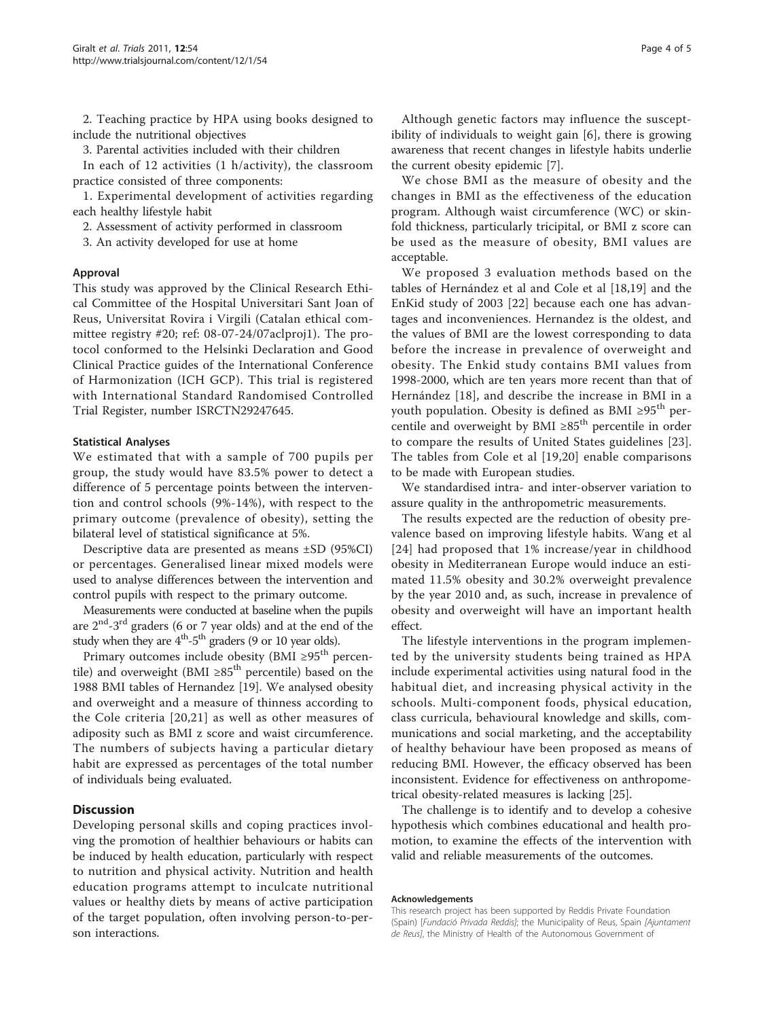2. Teaching practice by HPA using books designed to include the nutritional objectives

3. Parental activities included with their children

In each of 12 activities (1 h/activity), the classroom practice consisted of three components:

1. Experimental development of activities regarding each healthy lifestyle habit

2. Assessment of activity performed in classroom

3. An activity developed for use at home

# Approval

This study was approved by the Clinical Research Ethical Committee of the Hospital Universitari Sant Joan of Reus, Universitat Rovira i Virgili (Catalan ethical committee registry #20; ref: 08-07-24/07aclproj1). The protocol conformed to the Helsinki Declaration and Good Clinical Practice guides of the International Conference of Harmonization (ICH GCP). This trial is registered with International Standard Randomised Controlled Trial Register, number ISRCTN29247645.

# Statistical Analyses

We estimated that with a sample of 700 pupils per group, the study would have 83.5% power to detect a difference of 5 percentage points between the intervention and control schools (9%-14%), with respect to the primary outcome (prevalence of obesity), setting the bilateral level of statistical significance at 5%.

Descriptive data are presented as means ±SD (95%CI) or percentages. Generalised linear mixed models were used to analyse differences between the intervention and control pupils with respect to the primary outcome.

Measurements were conducted at baseline when the pupils are  $2<sup>nd</sup> - 3<sup>rd</sup>$  graders (6 or 7 year olds) and at the end of the study when they are  $4^{th}$ -5<sup>th</sup> graders (9 or 10 year olds).

Primary outcomes include obesity (BMI  $\geq$ 95<sup>th</sup> percentile) and overweight (BMI ≥85<sup>th</sup> percentile) based on the 1988 BMI tables of Hernandez [\[19\]](#page-4-0). We analysed obesity and overweight and a measure of thinness according to the Cole criteria [[20](#page-4-0),[21\]](#page-4-0) as well as other measures of adiposity such as BMI z score and waist circumference. The numbers of subjects having a particular dietary habit are expressed as percentages of the total number of individuals being evaluated.

# **Discussion**

Developing personal skills and coping practices involving the promotion of healthier behaviours or habits can be induced by health education, particularly with respect to nutrition and physical activity. Nutrition and health education programs attempt to inculcate nutritional values or healthy diets by means of active participation of the target population, often involving person-to-person interactions.

Although genetic factors may influence the susceptibility of individuals to weight gain [\[6](#page-4-0)], there is growing awareness that recent changes in lifestyle habits underlie the current obesity epidemic [[7\]](#page-4-0).

We chose BMI as the measure of obesity and the changes in BMI as the effectiveness of the education program. Although waist circumference (WC) or skinfold thickness, particularly tricipital, or BMI z score can be used as the measure of obesity, BMI values are acceptable.

We proposed 3 evaluation methods based on the tables of Hernández et al and Cole et al [[18](#page-4-0),[19\]](#page-4-0) and the EnKid study of 2003 [[22\]](#page-4-0) because each one has advantages and inconveniences. Hernandez is the oldest, and the values of BMI are the lowest corresponding to data before the increase in prevalence of overweight and obesity. The Enkid study contains BMI values from 1998-2000, which are ten years more recent than that of Hernández [[18\]](#page-4-0), and describe the increase in BMI in a youth population. Obesity is defined as BMI  $\geq 95^{th}$  percentile and overweight by BMI ≥85<sup>th</sup> percentile in order to compare the results of United States guidelines [\[23](#page-4-0)]. The tables from Cole et al [[19](#page-4-0),[20\]](#page-4-0) enable comparisons to be made with European studies.

We standardised intra- and inter-observer variation to assure quality in the anthropometric measurements.

The results expected are the reduction of obesity prevalence based on improving lifestyle habits. Wang et al [[24](#page-4-0)] had proposed that 1% increase/year in childhood obesity in Mediterranean Europe would induce an estimated 11.5% obesity and 30.2% overweight prevalence by the year 2010 and, as such, increase in prevalence of obesity and overweight will have an important health effect.

The lifestyle interventions in the program implemented by the university students being trained as HPA include experimental activities using natural food in the habitual diet, and increasing physical activity in the schools. Multi-component foods, physical education, class curricula, behavioural knowledge and skills, communications and social marketing, and the acceptability of healthy behaviour have been proposed as means of reducing BMI. However, the efficacy observed has been inconsistent. Evidence for effectiveness on anthropometrical obesity-related measures is lacking [\[25\]](#page-4-0).

The challenge is to identify and to develop a cohesive hypothesis which combines educational and health promotion, to examine the effects of the intervention with valid and reliable measurements of the outcomes.

#### Acknowledgements

This research project has been supported by Reddis Private Foundation (Spain) [Fundació Privada Reddis]; the Municipality of Reus, Spain [Ajuntament de Reus], the Ministry of Health of the Autonomous Government of